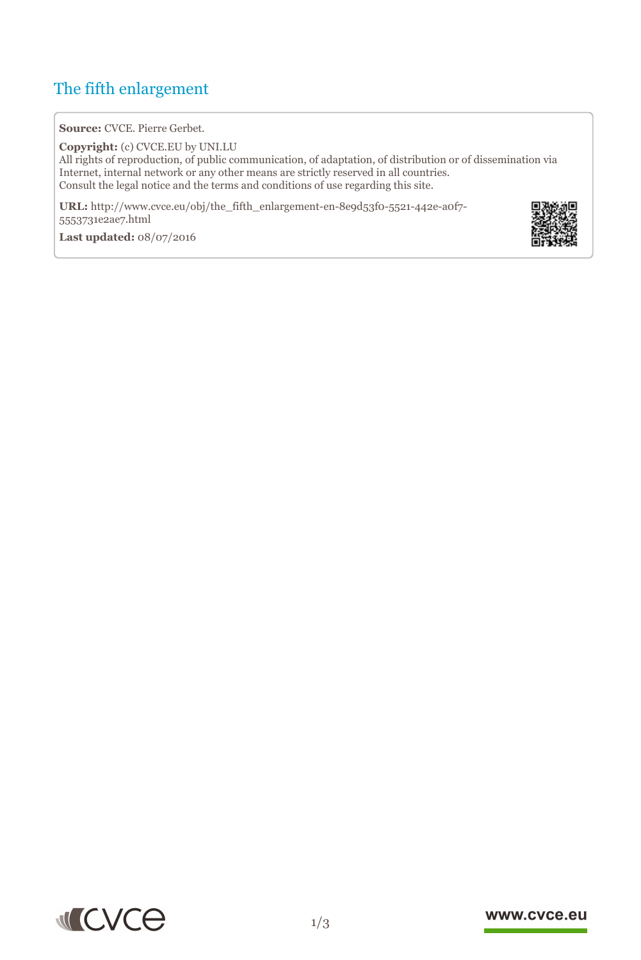# The fifth enlargement

**Source:** CVCE. Pierre Gerbet.

**Copyright:** (c) CVCE.EU by UNI.LU All rights of reproduction, of public communication, of adaptation, of distribution or of dissemination via Internet, internal network or any other means are strictly reserved in all countries. Consult the legal notice and the terms and conditions of use regarding this site.

**URL:** http://www.cvce.eu/obj/the\_fifth\_enlargement-en-8e9d53f0-5521-442e-a0f7- 5553731e[2ae7.html](http://www.cvce.eu/obj/the_fifth_enlargement-en-8e9d53f0-5521-442e-a0f7-5553731e2ae7.html)

**Las[t updated:](http://www.cvce.eu/obj/the_fifth_enlargement-en-8e9d53f0-5521-442e-a0f7-5553731e2ae7.html)** 08/07/2016





### www.cvce.eu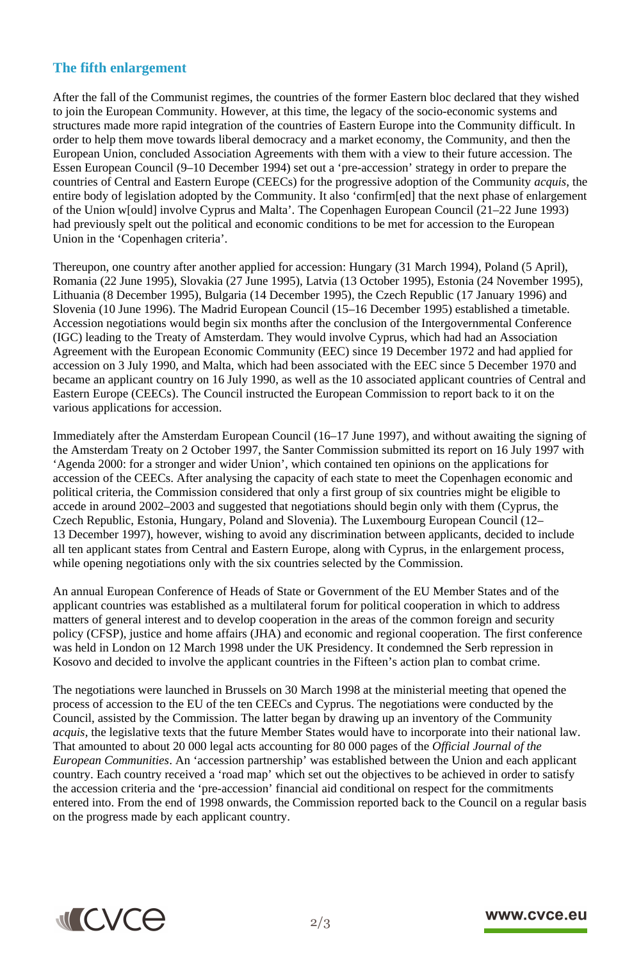## **The fifth enlargement**

After the fall of the Communist regimes, the countries of the former Eastern bloc declared that they wished to join the European Community. However, at this time, the legacy of the socio-economic systems and structures made more rapid integration of the countries of Eastern Europe into the Community difficult. In order to help them move towards liberal democracy and a market economy, the Community, and then the European Union, concluded Association Agreements with them with a view to their future accession. The Essen European Council (9–10 December 1994) set out a 'pre-accession' strategy in order to prepare the countries of Central and Eastern Europe (CEECs) for the progressive adoption of the Community *acquis*, the entire body of legislation adopted by the Community. It also 'confirm[ed] that the next phase of enlargement of the Union w[ould] involve Cyprus and Malta'. The Copenhagen European Council (21–22 June 1993) had previously spelt out the political and economic conditions to be met for accession to the European Union in the 'Copenhagen criteria'.

Thereupon, one country after another applied for accession: Hungary (31 March 1994), Poland (5 April), Romania (22 June 1995), Slovakia (27 June 1995), Latvia (13 October 1995), Estonia (24 November 1995), Lithuania (8 December 1995), Bulgaria (14 December 1995), the Czech Republic (17 January 1996) and Slovenia (10 June 1996). The Madrid European Council (15–16 December 1995) established a timetable. Accession negotiations would begin six months after the conclusion of the Intergovernmental Conference (IGC) leading to the Treaty of Amsterdam. They would involve Cyprus, which had had an Association Agreement with the European Economic Community (EEC) since 19 December 1972 and had applied for accession on 3 July 1990, and Malta, which had been associated with the EEC since 5 December 1970 and became an applicant country on 16 July 1990, as well as the 10 associated applicant countries of Central and Eastern Europe (CEECs). The Council instructed the European Commission to report back to it on the various applications for accession.

Immediately after the Amsterdam European Council (16–17 June 1997), and without awaiting the signing of the Amsterdam Treaty on 2 October 1997, the Santer Commission submitted its report on 16 July 1997 with 'Agenda 2000: for a stronger and wider Union', which contained ten opinions on the applications for accession of the CEECs. After analysing the capacity of each state to meet the Copenhagen economic and political criteria, the Commission considered that only a first group of six countries might be eligible to accede in around 2002–2003 and suggested that negotiations should begin only with them (Cyprus, the Czech Republic, Estonia, Hungary, Poland and Slovenia). The Luxembourg European Council (12– 13 December 1997), however, wishing to avoid any discrimination between applicants, decided to include all ten applicant states from Central and Eastern Europe, along with Cyprus, in the enlargement process, while opening negotiations only with the six countries selected by the Commission.

An annual European Conference of Heads of State or Government of the EU Member States and of the applicant countries was established as a multilateral forum for political cooperation in which to address matters of general interest and to develop cooperation in the areas of the common foreign and security policy (CFSP), justice and home affairs (JHA) and economic and regional cooperation. The first conference was held in London on 12 March 1998 under the UK Presidency. It condemned the Serb repression in Kosovo and decided to involve the applicant countries in the Fifteen's action plan to combat crime.

The negotiations were launched in Brussels on 30 March 1998 at the ministerial meeting that opened the process of accession to the EU of the ten CEECs and Cyprus. The negotiations were conducted by the Council, assisted by the Commission. The latter began by drawing up an inventory of the Community *acquis*, the legislative texts that the future Member States would have to incorporate into their national law. That amounted to about 20 000 legal acts accounting for 80 000 pages of the *Official Journal of the European Communities*. An 'accession partnership' was established between the Union and each applicant country. Each country received a 'road map' which set out the objectives to be achieved in order to satisfy the accession criteria and the 'pre-accession' financial aid conditional on respect for the commitments entered into. From the end of 1998 onwards, the Commission reported back to the Council on a regular basis on the progress made by each applicant country.



### www.cvce.eu